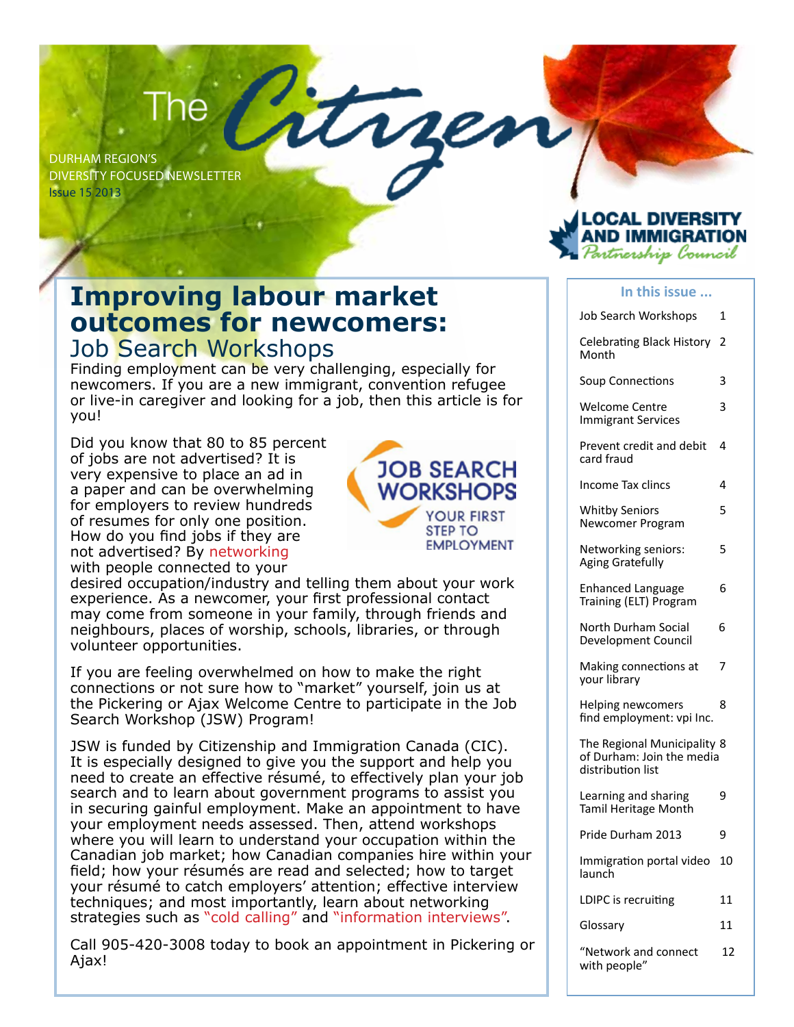# The

Durham Region's Diversity Focused Newsletter Issue 15 2013



#### **Improving labour market outcomes for newcomers:**  Job Search Workshops

Finding employment can be very challenging, especially for newcomers. If you are a new immigrant, convention refugee or live-in caregiver and looking for a job, then this article is for you!

Did you know that 80 to 85 percent of jobs are not advertised? It is very expensive to place an ad in a paper and can be overwhelming for employers to review hundreds of resumes for only one position. How do you find jobs if they are not advertised? By networking with people connected to your



desired occupation/industry and telling them about your work experience. As a newcomer, your first professional contact may come from someone in your family, through friends and neighbours, places of worship, schools, libraries, or through volunteer opportunities.

If you are feeling overwhelmed on how to make the right connections or not sure how to "market" yourself, join us at the Pickering or Ajax Welcome Centre to participate in the Job Search Workshop (JSW) Program!

JSW is funded by Citizenship and Immigration Canada (CIC). It is especially designed to give you the support and help you need to create an effective résumé, to effectively plan your job search and to learn about government programs to assist you in securing gainful employment. Make an appointment to have your employment needs assessed. Then, attend workshops where you will learn to understand your occupation within the Canadian job market; how Canadian companies hire within your field; how your résumés are read and selected; how to target your résumé to catch employers' attention; effective interview techniques; and most importantly, learn about networking strategies such as "cold calling" and "information interviews".

Call 905-420-3008 today to book an appointment in Pickering or Ajax!

#### **In this issue ...**

| Job Search Workshops                                                          | 1  |
|-------------------------------------------------------------------------------|----|
| Celebrating Black History<br>Month                                            | 2  |
| Soup Connections                                                              | 3  |
| <b>Welcome Centre</b><br><b>Immigrant Services</b>                            | 3  |
| Prevent credit and debit<br>card fraud                                        | 4  |
| Income Tax clincs                                                             | 4  |
| <b>Whitby Seniors</b><br>Newcomer Program                                     | 5  |
| Networking seniors:<br><b>Aging Gratefully</b>                                | 5  |
| <b>Enhanced Language</b><br>Training (ELT) Program                            | 6  |
| North Durham Social<br>Development Council                                    | 6  |
| Making connections at<br>your library                                         | 7  |
| Helping newcomers<br>find employment: vpi Inc.                                | 8  |
| The Regional Municipality 8<br>of Durham: Join the media<br>distribution list |    |
| Learning and sharing<br>Tamil Heritage Month                                  | 9  |
| Pride Durham 2013                                                             | 9  |
| Immigration portal video<br>launch                                            | 10 |
| LDIPC is recruiting                                                           | 11 |
| Glossary                                                                      | 11 |
| "Network and connect<br>with people"                                          | 12 |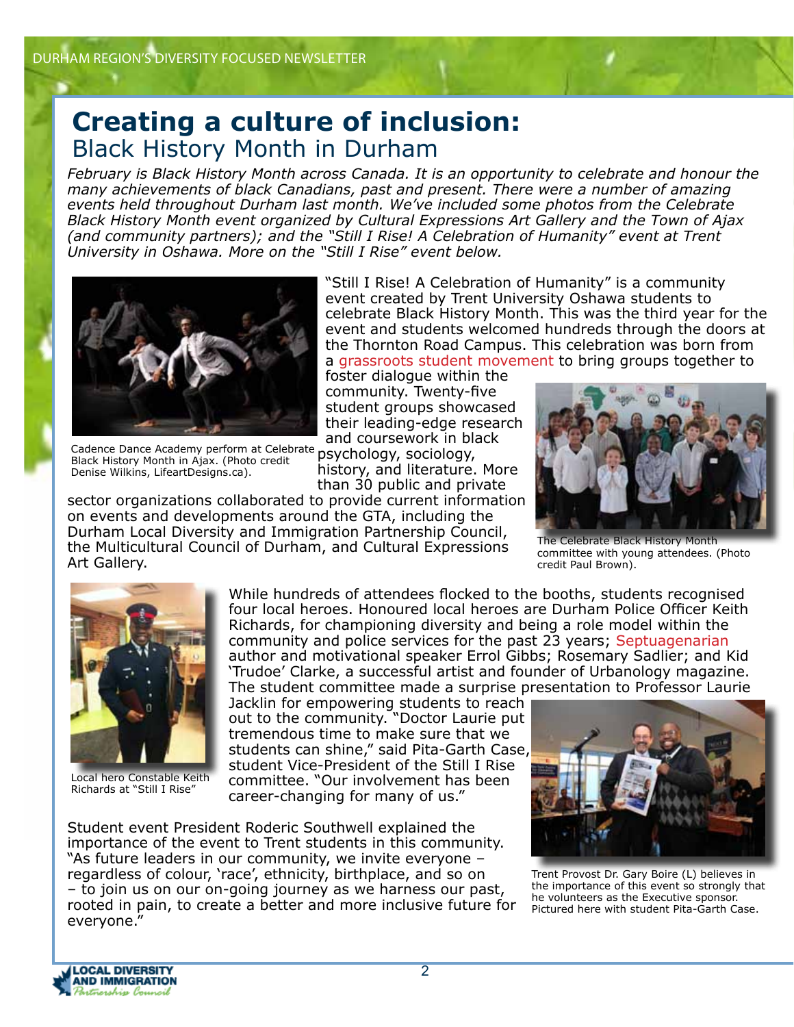## **Creating a culture of inclusion:** Black History Month in Durham

*February is Black History Month across Canada. It is an opportunity to celebrate and honour the many achievements of black Canadians, past and present. There were a number of amazing events held throughout Durham last month. We've included some photos from the Celebrate Black History Month event organized by Cultural Expressions Art Gallery and the Town of Ajax (and community partners); and the "Still I Rise! A Celebration of Humanity" event at Trent University in Oshawa. More on the "Still I Rise" event below.* 



"Still I Rise! A Celebration of Humanity" is a community event created by Trent University Oshawa students to celebrate Black History Month. This was the third year for the event and students welcomed hundreds through the doors at the Thornton Road Campus. This celebration was born from a grassroots student movement to bring groups together to

foster dialogue within the community. Twenty-five student groups showcased their leading-edge research and coursework in black

Cadence Dance Academy perform at Celebrate psychology, sociology, Black History Month in Ajax. (Photo credit Denise Wilkins, LifeartDesigns.ca).

history, and literature. More than 30 public and private

sector organizations collaborated to provide current information on events and developments around the GTA, including the Durham Local Diversity and Immigration Partnership Council, the Multicultural Council of Durham, and Cultural Expressions Art Gallery.



The Celebrate Black History Month committee with young attendees. (Photo credit Paul Brown).



Local hero Constable Keith Richards at "Still I Rise"

While hundreds of attendees flocked to the booths, students recognised four local heroes. Honoured local heroes are Durham Police Officer Keith Richards, for championing diversity and being a role model within the community and police services for the past 23 years; Septuagenarian author and motivational speaker Errol Gibbs; Rosemary Sadlier; and Kid 'Trudoe' Clarke, a successful artist and founder of Urbanology magazine. The student committee made a surprise presentation to Professor Laurie

Jacklin for empowering students to reach out to the community. "Doctor Laurie put tremendous time to make sure that we students can shine," said Pita-Garth Case, student Vice-President of the Still I Rise committee. "Our involvement has been career-changing for many of us."

Student event President Roderic Southwell explained the importance of the event to Trent students in this community. "As future leaders in our community, we invite everyone – regardless of colour, 'race', ethnicity, birthplace, and so on – to join us on our on-going journey as we harness our past, rooted in pain, to create a better and more inclusive future for everyone."



Trent Provost Dr. Gary Boire (L) believes in the importance of this event so strongly that he volunteers as the Executive sponsor. Pictured here with student Pita-Garth Case.

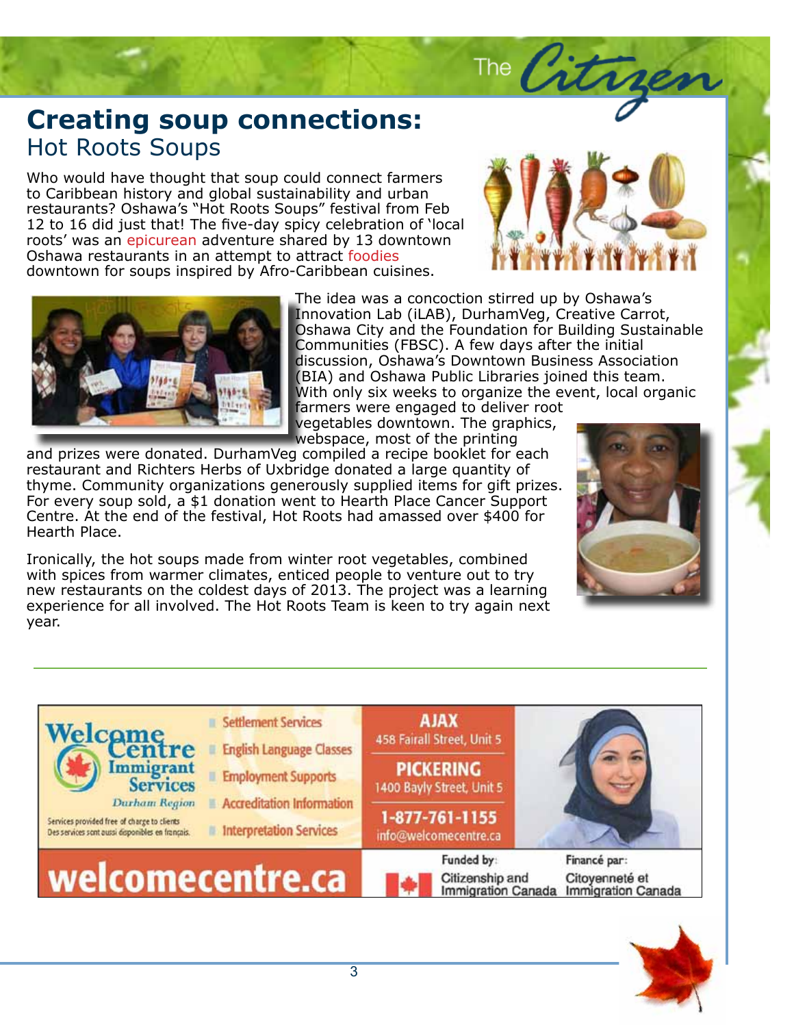## **Creating soup connections:**<br>Hot Roots Soups Hot Roots Soups

Who would have thought that soup could connect farmers<br>to Caribbean history and global sustainability and urban restaurants? Oshawa's "Hot Roots Soups" festival from Feb 12 to 16 did just that! The five-day spicy celebration of 'local roots was an epicarean adventure shared by 15 down.<br>Oshawa restaurants in an attempt to attract foodies eros. Nulla facilisi. Vivamus iaculis dui quis dolor. Sed nunc metus, porttitor ut, downtown for soups inspired by Afro-Caribbean cuisines. to Caribbean history and global sustainability and urban roots' was an epicurean adventure shared by 13 downtown



The City



The idea was a concoction stirred up by Oshawa's Innovation Lab (iLAB), DurhamVeg, Creative Carrot, **Communities (FBSC).** A few days after the initial discussion, Oshawa's Downtown Business Association (BIA) and Oshawa Public Libraries joined this team. With only six weeks to organize the event, local organic farmers were engaged to deliver root Oshawa City and the Foundation for Building Sustainable

vegetables downtown. The graphics, webspace, most of the printing

restaurant and Kichters nerbs or Oxbridge donated a large quantity or<br>thyme. Community organizations generously supplied items for gift prizes. ling to commandy organizations generously supplied rems for gift prizes.<br>For every soup sold, a \$1 donation went to Hearth Place Cancer Support Centre. At the end of the festival, Hot Roots had amassed over \$400 for and prizes were donated. DurhamVeg compiled a recipe booklet for each restaurant and Richters Herbs of Uxbridge donated a large quantity of Hearth Place.

Ironically, the hot soups made from winter root vegetables, combined methopies from nations calliates, entities people to venture out to the project was a learning experience for all involved. The Hot Roots Team is keen to try again next with spices from warmer climates, enticed people to venture out to try year.





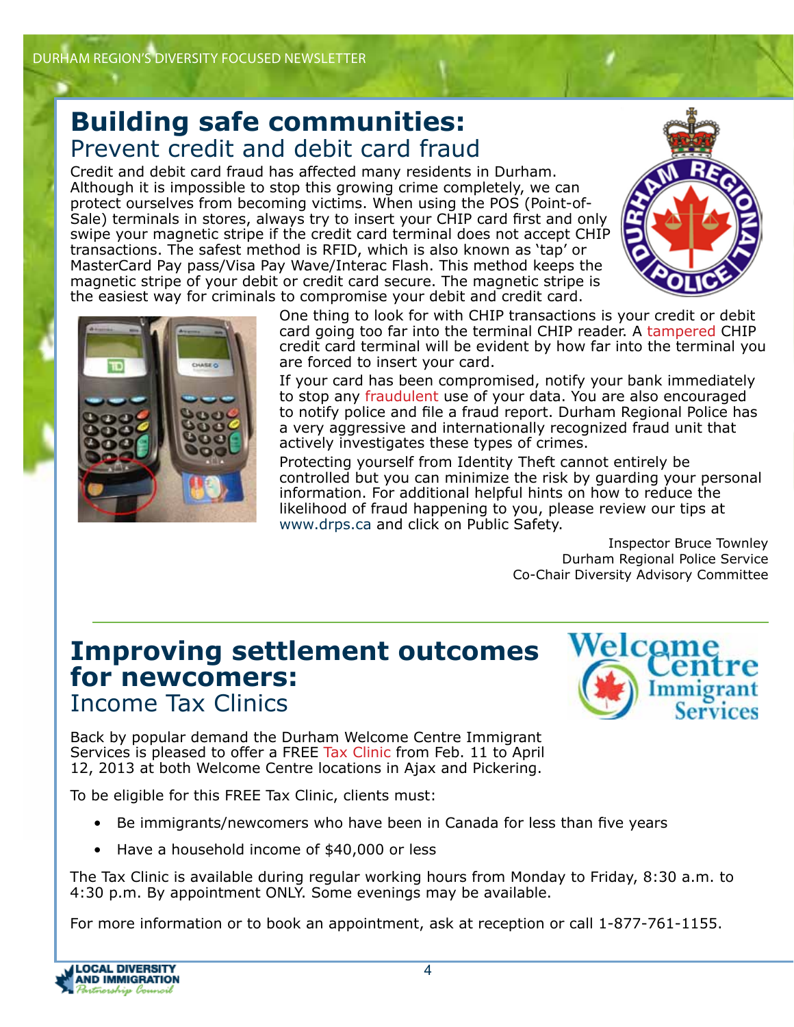## **Building safe communities:** Prevent credit and debit card fraud

Credit and debit card fraud has affected many residents in Durham. Although it is impossible to stop this growing crime completely, we can protect ourselves from becoming victims. When using the POS (Point-of-Sale) terminals in stores, always try to insert your CHIP card first and only swipe your magnetic stripe if the credit card terminal does not accept CHIP transactions. The safest method is RFID, which is also known as 'tap' or MasterCard Pay pass/Visa Pay Wave/Interac Flash. This method keeps the magnetic stripe of your debit or credit card secure. The magnetic stripe is the easiest way for criminals to compromise your debit and credit card.





One thing to look for with CHIP transactions is your credit or debit card going too far into the terminal CHIP reader. A tampered CHIP credit card terminal will be evident by how far into the terminal you are forced to insert your card.

If your card has been compromised, notify your bank immediately to stop any fraudulent use of your data. You are also encouraged to notify police and file a fraud report. Durham Regional Police has a very aggressive and internationally recognized fraud unit that actively investigates these types of crimes.

Protecting yourself from Identity Theft cannot entirely be controlled but you can minimize the risk by guarding your personal information. For additional helpful hints on how to reduce the likelihood of fraud happening to you, please review our tips at www.drps.ca and click on Public Safety.

> Inspector Bruce Townley Durham Regional Police Service Co-Chair Diversity Advisory Committee

#### **Improving settlement outcomes for newcomers:**  Income Tax Clinics



Back by popular demand the Durham Welcome Centre Immigrant Services is pleased to offer a FREE Tax Clinic from Feb. 11 to April 12, 2013 at both Welcome Centre locations in Ajax and Pickering.

To be eligible for this FREE Tax Clinic, clients must:

- Be immigrants/newcomers who have been in Canada for less than five years
- Have a household income of \$40,000 or less

The Tax Clinic is available during regular working hours from Monday to Friday, 8:30 a.m. to 4:30 p.m. By appointment ONLY. Some evenings may be available.

For more information or to book an appointment, ask at reception or call 1-877-761-1155.

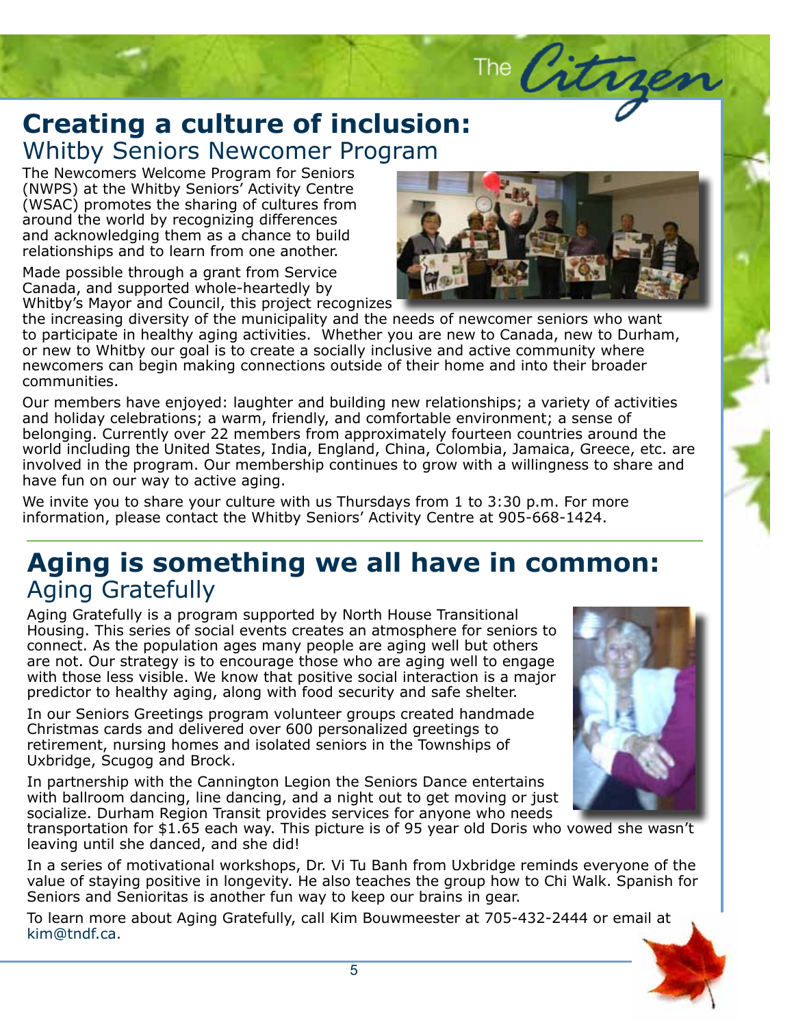## The Citrger **Creating a culture of inclusion:**<br>Whitby Seniors Newcomer Program Whitby Seniors Newcomer Program

The Newcomers Welcome Program for Seniors<br>(NWPS) at the Whitby Seniors' Activity Centre (WSAC) promotes the sharing of cultures from around the nonarcy recognizing aincrences<br>and acknowledging them as a chance to build relationships and to learn from one another. (NWPS) at the Whitby Seniors' Activity Centre around the world by recognizing differences

Made possible through a grant from Service Canada, and supported whole-heartedly by Whitby's Mayor and Council, this project recognizes



the increasing diversity of the municipality and the needs of newcomer seniors who want to participate in healthy aging activities. Whether you are new to Canada, new to Durham, or new to Whitby our goal is to create a socially inclusive and active community where newcomers can begin making connections outside of their home and into their broader<br>communities communities.

communities.<br>Our members have enjoyed: laughter and building new relationships; a variety of activities<br>and holidav celebrations: a warm, friendly, and comfortable environment: a sense of belonging. Currently over 22 members from approximately fourteen countries around the<br>world including the United States, India, England, China, Colombia, Jamaica, Greece, etc. are Subheadline to go here. and holiday celebrations; a warm, friendly, and comfortable environment; a sense of belonging. Currently over 22 members from approximately fourteen countries around the involved in the program. Our membership continues to grow with a willingness to share and have fun on our way to active aging.

We invite you to share your culture with us Thursdays from 1 to 3:30 p.m. For more adipiration, please contact the Whitby Seniors' Activity Centre at 905-668-1424.

#### Aging is something we all have in common: pede sed neque. Morbi a ipsum. Nulla et Aging Gratefully

Aging Grateruny is a program supported by North House Transitional<br>Housing. This series of social events creates an atmosphere for seniors to libero connect. As the population ages many people are aging well but others are not. Our strategy is to encourage those who are aging well to engage with those less visible. We know that positive social interaction is a major and the sound of the sound of the predictor to healthy aging, along with food security and safe shelter. Aging Gratefully is a program supported by North House Transitional

In our Seniors Greetings program volunteer groups created handmade retirement, nursing homes and isolated seniors in the Townships of Christmas cards and delivered over 600 personalized greetings to Uxbridge, Scugog and Brock.

In partnership with the Cannington Legion the Seniors Dance entertains with ballroom dancing, line dancing, and a night out to get moving or just socialize. Durham Region Transit provides services for anyone who needs



socialize: Burnam Region mansit provides services for anyone who necus<br>transportation for \$1.65 each way. This picture is of 95 year old Doris who vowed she wasn't odio. Cras possibilità e di contrattività di contrattività di contrattività di contrattività di contrattività <br>Elementi leaving until she danced, and she did!

In a series of motivational workshops, Dr. Vi Tu Banh from Uxbridge reminds everyone of the In a sones of methational nonteneps, bit it is bailly hold shortage relimited over, your of the<br>value of staying positive in longevity. He also teaches the group how to Chi Walk. Spanish for lectus sit amet mauris. Phasellus dapibus dapibus dapibus dapibus dapibus dapibus dapibus dapibus dapibus dapi<br>Dapibus dapibus dapibus dapibus dapibus dapibus dapibus dapibus dapibus dapibus dapibus dapibus dapibus dapibu Seniors and Senioritas is another fun way to keep our brains in gear.

To learn more about Aging Gratefully, call Kim Bouwmeester at 705-432-2444 or email at kim@tndf.ca.

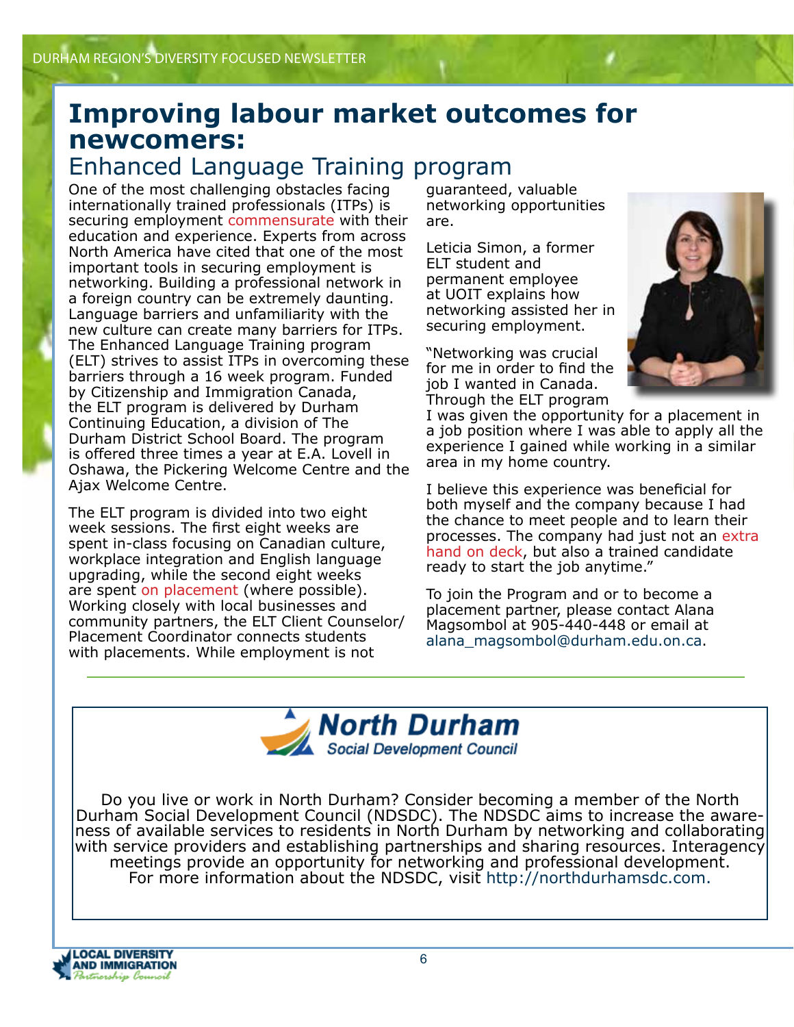## **Improving labour market outcomes for newcomers:**

## Enhanced Language Training program

One of the most challenging obstacles facing internationally trained professionals (ITPs) is securing employment commensurate with their education and experience. Experts from across North America have cited that one of the most important tools in securing employment is networking. Building a professional network in a foreign country can be extremely daunting. Language barriers and unfamiliarity with the new culture can create many barriers for ITPs. The Enhanced Language Training program (ELT) strives to assist ITPs in overcoming these barriers through a 16 week program. Funded by Citizenship and Immigration Canada, the ELT program is delivered by Durham Continuing Education, a division of The Durham District School Board. The program is offered three times a year at E.A. Lovell in Oshawa, the Pickering Welcome Centre and the Ajax Welcome Centre.

The ELT program is divided into two eight week sessions. The first eight weeks are spent in-class focusing on Canadian culture, workplace integration and English language upgrading, while the second eight weeks are spent on placement (where possible). Working closely with local businesses and community partners, the ELT Client Counselor/ Placement Coordinator connects students with placements. While employment is not

guaranteed, valuable networking opportunities are.

Leticia Simon, a former ELT student and permanent employee at UOIT explains how networking assisted her in securing employment.

"Networking was crucial for me in order to find the job I wanted in Canada. Through the ELT program



I was given the opportunity for a placement in a job position where I was able to apply all the experience I gained while working in a similar area in my home country.

I believe this experience was beneficial for both myself and the company because I had the chance to meet people and to learn their processes. The company had just not an extra hand on deck, but also a trained candidate ready to start the job anytime."

To join the Program and or to become a placement partner, please contact Alana Magsombol at 905-440-448 or email at alana\_magsombol@durham.edu.on.ca.



Do you live or work in North Durham? Consider becoming a member of the North Durham Social Development Council (NDSDC). The NDSDC aims to increase the aware-<br>ness of available services to residents in North Durham by networking and collaborating with service providers and establishing partnerships and sharing resources. Interagency meetings provide an opportunity for networking and professional development. For more information about the NDSDC, visit http://northdurhamsdc.com.

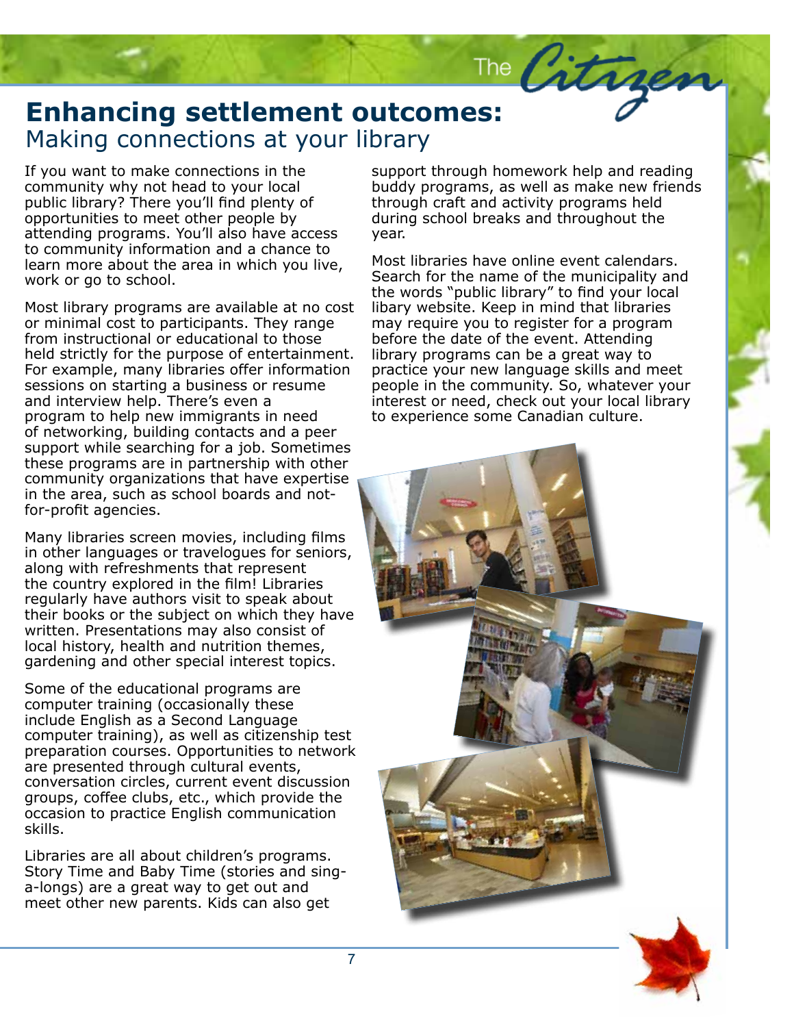# **Ennancing settlement outco**<br>Making connections at your library The City<br>Enhancing settlement outcomes:

If you want to make connections in the community why not head to your local public library? There you'll find plenty of opportunities to meet other people by attending programs. You'll also have access to community information and a chance to learn more about the area in which you live, work or go to school.

Most library programs are available at no cost or minimal cost to participants. They range from instructional or educational to those held strictly for the purpose of entertainment. For example, many libraries offer information sessions on starting a business or resume and interview help. There's even a program to help new immigrants in need of networking, building contacts and a peer support while searching for a job. Sometimes these programs are in partnership with other community organizations that have expertise in the area, such as school boards and notfor-profit agencies.

Many libraries screen movies, including films in other languages or travelogues for seniors, along with refreshments that represent the country explored in the film! Libraries regularly have authors visit to speak about their books or the subject on which they have written. Presentations may also consist of local history, health and nutrition themes, gardening and other special interest topics.

Some of the educational programs are computer training (occasionally these include English as a Second Language computer training), as well as citizenship test preparation courses. Opportunities to network are presented through cultural events, conversation circles, current event discussion groups, coffee clubs, etc., which provide the occasion to practice English communication skills.

Libraries are all about children's programs. Story Time and Baby Time (stories and singa-longs) are a great way to get out and meet other new parents. Kids can also get

support through homework help and reading buddy programs, as well as make new friends through craft and activity programs held during school breaks and throughout the year.

Most libraries have online event calendars. Search for the name of the municipality and the words "public library" to find your local libary website. Keep in mind that libraries may require you to register for a program before the date of the event. Attending library programs can be a great way to practice your new language skills and meet people in the community. So, whatever your interest or need, check out your local library to experience some Canadian culture.

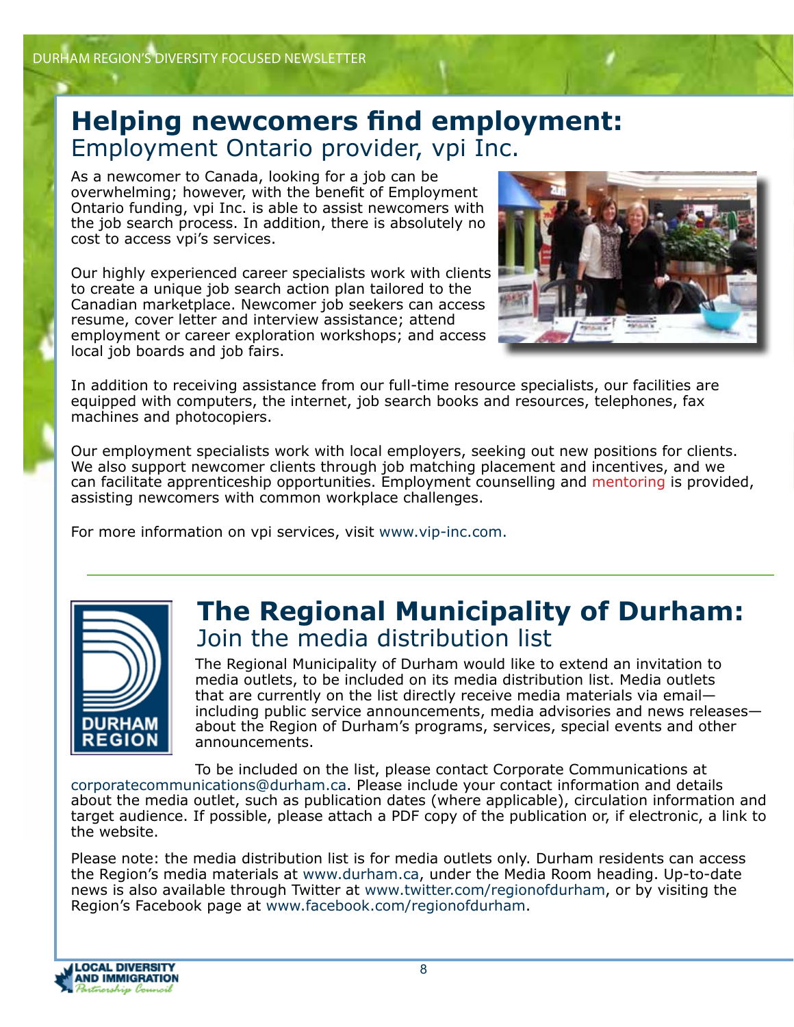## **Helping newcomers find employment:**  Employment Ontario provider, vpi Inc.

As a newcomer to Canada, looking for a job can be overwhelming; however, with the benefit of Employment Ontario funding, vpi Inc. is able to assist newcomers with the job search process. In addition, there is absolutely no cost to access vpi's services.

Our highly experienced career specialists work with clients to create a unique job search action plan tailored to the Canadian marketplace. Newcomer job seekers can access resume, cover letter and interview assistance; attend employment or career exploration workshops; and access local job boards and job fairs.



In addition to receiving assistance from our full-time resource specialists, our facilities are equipped with computers, the internet, job search books and resources, telephones, fax machines and photocopiers.

Our employment specialists work with local employers, seeking out new positions for clients. We also support newcomer clients through job matching placement and incentives, and we can facilitate apprenticeship opportunities. Employment counselling and mentoring is provided, assisting newcomers with common workplace challenges.

For more information on vpi services, visit www.vip-inc.com.



## **The Regional Municipality of Durham:**  Join the media distribution list

The Regional Municipality of Durham would like to extend an invitation to media outlets, to be included on its media distribution list. Media outlets that are currently on the list directly receive media materials via email including public service announcements, media advisories and news releases about the Region of Durham's programs, services, special events and other announcements.

To be included on the list, please contact Corporate Communications at corporatecommunications@durham.ca. Please include your contact information and details about the media outlet, such as publication dates (where applicable), circulation information and target audience. If possible, please attach a PDF copy of the publication or, if electronic, a link to the website.

Please note: the media distribution list is for media outlets only. Durham residents can access the Region's media materials at www.durham.ca, under the Media Room heading. Up-to-date news is also available through Twitter at www.twitter.com/regionofdurham, or by visiting the Region's Facebook page at www.facebook.com/regionofdurham.

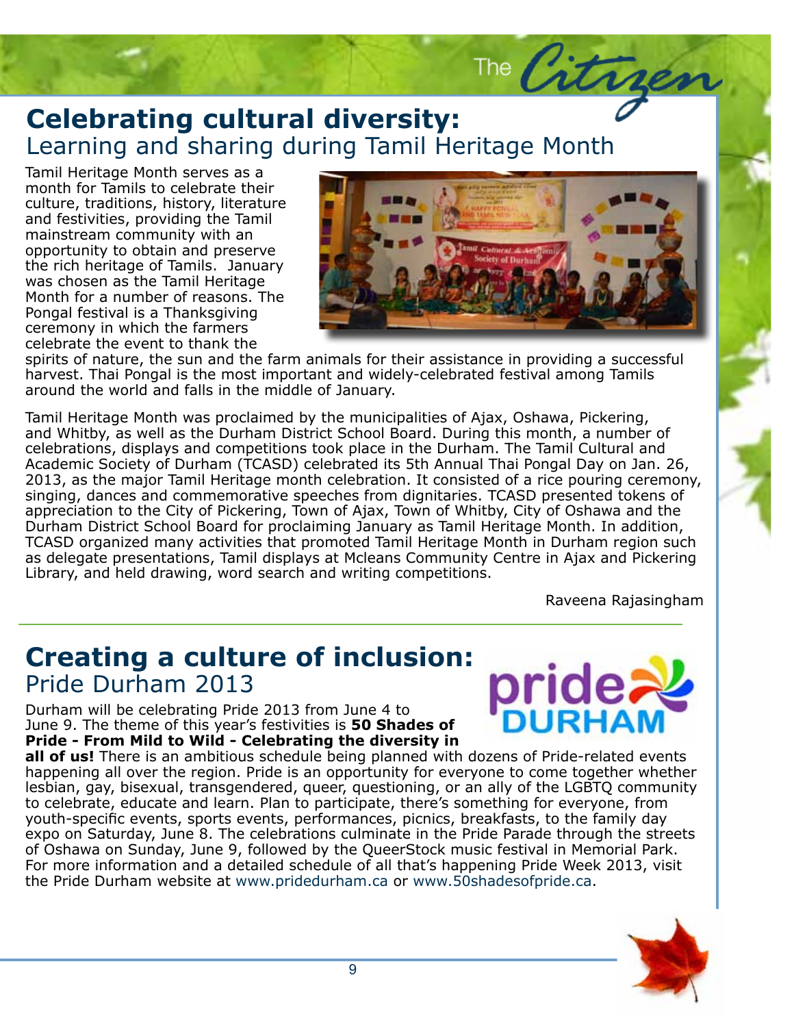## Celebrating cultural diversity:<br>Learning and sharing during Tamil Heritage Month **Celebrating cultural diversity:**

Tamil Heritage Month serves as a<br>month for Tamils to celebrate thei culture, traditions, history, literature<br>and factivities, nuoviding the Tamil mainstream community with an opportunity to obtain and preserve the rich heritage of Tamils. January was chosen as the Tamil Heritage Month for a number of reasons. The roligar reservancs a manksgromg. celebrate the event to thank the month for Tamils to celebrate their and festivities, providing the Tamil Pongal festival is a Thanksgiving



The Citry

Nuncest: That Forigan is the most important and widery celebrated restival among farms<br>around the world and falls in the middle of January.<br>Tamil Heritage Month was proclaimed by the municipalities of Ajax, Oshawa, Pickeri spirits of nature, the sun and the farm animals for their assistance in providing a successful harvest. Thai Pongal is the most important and widely-celebrated festival among Tamils around the world and falls in the middle of January.

and Whitby, as well as the Durham District School Board. During this month, a number of<br>celebrations, displays and competitions took place in the Durham. The Tamil Cultural and 2013, as the major Tamil Heritage month celebration. It consisted of a rice pouring ceremony, singing, dances and commemorative speeches from dignitaries. TCASD presented tokens of appreciation to the City of Pickering, Town of Ajax, Town of Whitby, City of Oshawa and the Durham District School Board for proclaiming January as Tamil Heritage Month. In addition, TCASD organized many activities that promoted Tamil Heritage Month in Durham region such as delegate presentations, Tamil displays at Mcleans Community Centre in Ajax and Pickering<br>Library and hold drawing, word coarch and writing compotitions Integer vel arcu. Maecenas cursus pede sed and Whitby, as well as the Durham District School Board. During this month, a number of Academic Society of Durham (TCASD) celebrated its 5th Annual Thai Pongal Day on Jan. 26, Library, and held drawing, word search and writing competitions.

Raveena Rajasingham

libero gravida tempus. Aliquam eu mauris.

pride

#### **Creating a culture of inclusion:**  $\text{L}_\text{right}$  do  $\text{L}_\text{right}$  amethor sit ametric and  $\text{L}_\text{right}$ Pride Durham 2013

Durham will be celebrating Pride 2013 from June 4 to June 9. The theme of this year's festivities is **50 Shades of Pride - From Mild to Wild - Celebrating the diversity in** 

**all of us!** There is an ambitious schedule being planned with dozens of Pride-related events happening all over the region. Pride is an opportunity for everyone to come together whether lesbian, gay, bisexual, transgendered, queer, questioning, or an ally of the LGBTQ community to celebrate, educate and learn. Plan to participate, there's something for everyone, from youth-specific events, sports events, performances, picnics, breakfasts, to the family day expo on Saturday, June 8. The celebrations culminate in the Pride Parade through the streets of Oshawa on Sunday, June 9, followed by the QueerStock music festival in Memorial Park. For more information and a detailed schedule of all that's happening Pride Week 2013, visit the Pride Durham website at www.pridedurham.ca or www.50shadesofpride.ca.

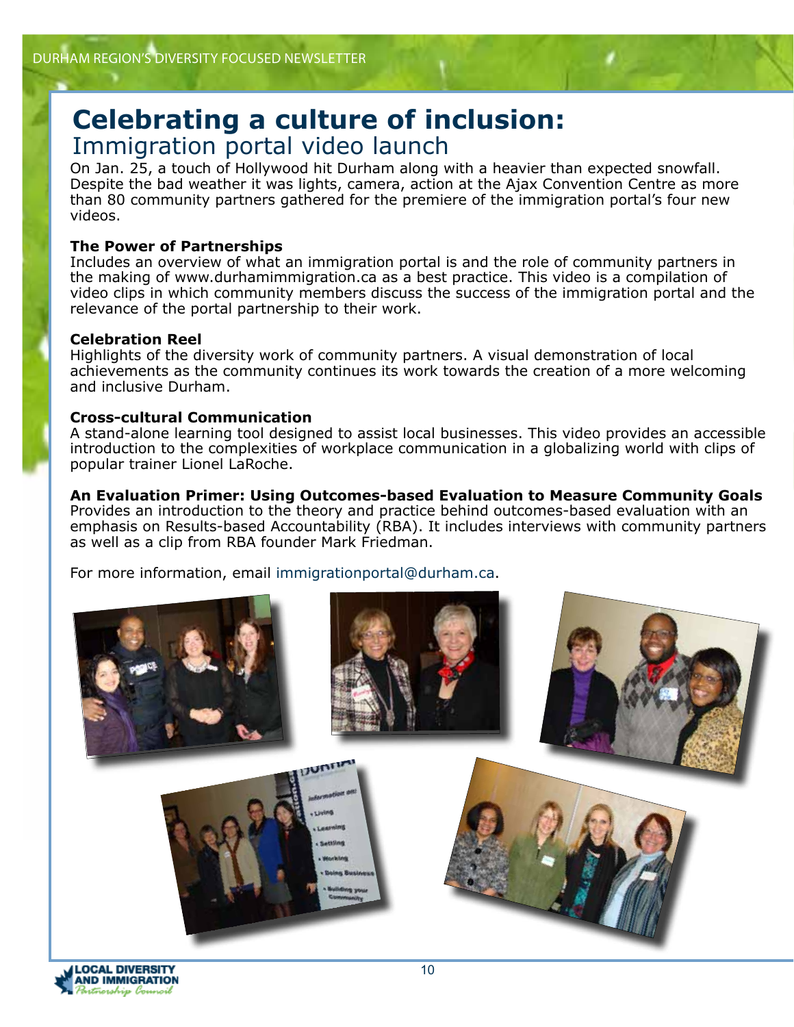## **Celebrating a culture of inclusion:** Immigration portal video launch

On Jan. 25, a touch of Hollywood hit Durham along with a heavier than expected snowfall. Despite the bad weather it was lights, camera, action at the Ajax Convention Centre as more than 80 community partners gathered for the premiere of the immigration portal's four new videos.

#### **The Power of Partnerships**

Includes an overview of what an immigration portal is and the role of community partners in the making of www.durhamimmigration.ca as a best practice. This video is a compilation of video clips in which community members discuss the success of the immigration portal and the relevance of the portal partnership to their work.

#### **Celebration Reel**

Highlights of the diversity work of community partners. A visual demonstration of local achievements as the community continues its work towards the creation of a more welcoming and inclusive Durham.

#### **Cross-cultural Communication**

A stand-alone learning tool designed to assist local businesses. This video provides an accessible introduction to the complexities of workplace communication in a globalizing world with clips of popular trainer Lionel LaRoche.

#### **An Evaluation Primer: Using Outcomes-based Evaluation to Measure Community Goals**

Provides an introduction to the theory and practice behind outcomes-based evaluation with an emphasis on Results-based Accountability (RBA). It includes interviews with community partners as well as a clip from RBA founder Mark Friedman.

For more information, email immigrationportal@durham.ca.

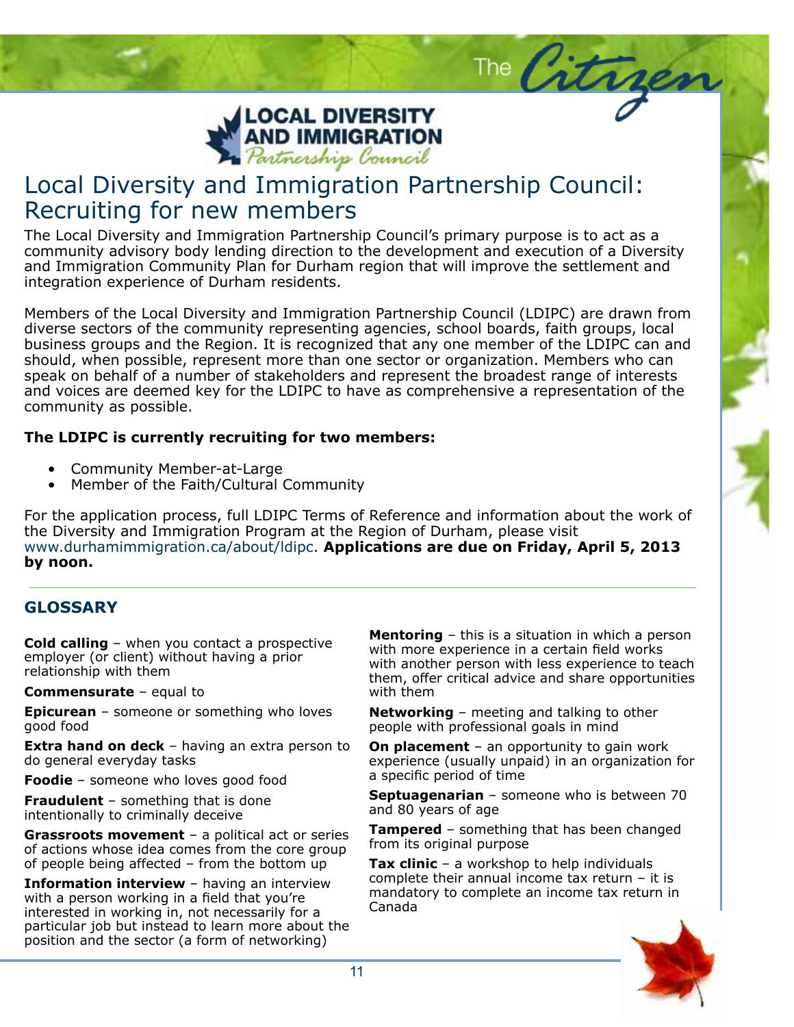

## Local Diversity and Immigration Partnership Council: Recruiting for new members

The Local Diversity and Immigration Partnership Council's primary purpose is to act as a community advisory body lending direction to the development and execution of a Diversity and Immigration Community Plan for Durham region that will improve the settlement and integration experience of Durham residents.

Members of the Local Diversity and Immigration Partnership Council (LDIPC) are drawn from diverse sectors of the community representing agencies, school boards, faith groups, local business groups and the Region. It is recognized that any one member of the LDIPC can and should, when possible, represent more than one sector or organization. Members who can speak on behalf of a number of stakeholders and represent the broadest range of interests and voices are deemed key for the LDIPC to have as comprehensive a representation of the community as possible.

#### **The LDIPC is currently recruiting for two members:**

- Community Member-at-Large
- Member of the Faith/Cultural Community

For the application process, full LDIPC Terms of Reference and information about the work of the Diversity and Immigration Program at the Region of Durham, please visit www.durhamimmigration.ca/about/ldipc. **Applications are due on Friday, April 5, 2013 by noon.**

#### **GLOSSARY**

employer (or client) without having a prior relationship with them and align and all consected and all consected and all consected all consected and all con **Cold calling** – when you contact a prospective

**Commensurate** – equal to **commensurate – equal to** ac nibher mass with the

**Epicurean** – someone or something who loves good food

**Extra hand on deck** – having an extra person to do general everyday tasks

Foodie - someone who loves good food

**Fraudulent** – something that is done intentionally to criminally deceive

**Crassroces inovement** a political act of series of actions whose idea comes from the core group of people being affected  $-$  from the bottom up **Grassroots movement** – a political act or series

**Information interview - having an interview** with a person working in a field that you're interested in working in, not necessarily for a particular job but instead to learn more about the position and the sector (a form of networking)

**Mentoring** – this is a situation in which a person with more experience in a certain field works man another person manness experience to teach.<br>them, offer critical advice and share opportunities with another person with less experience to teach with them

Subheadline to go here.

The Citrages

**Networking** – meeting and talking to other people with professional goals in mind

**On placement** – an opportunity to gain work experience (usually unpaid) in an organization for posuere arcu non international control orchestrate blandit orchestrate blandit orchestrate blandit orchestrate blandit orchestrate blandit orchestrate blandit orchestrate blandit orchestrate blandit orchestrate blandit orc a specific period of time

**Septuagenarian** – someone who is between 70 and 80 years of age

**Tampered** – something that has been changed<br>from the spiringlus was as from its original purpose

**Tax clinic** – a workshop to help individuals rax chine the workshop to help individually<br>complete their annual income tax return – it is mandatory to complete an income tax return in Canada